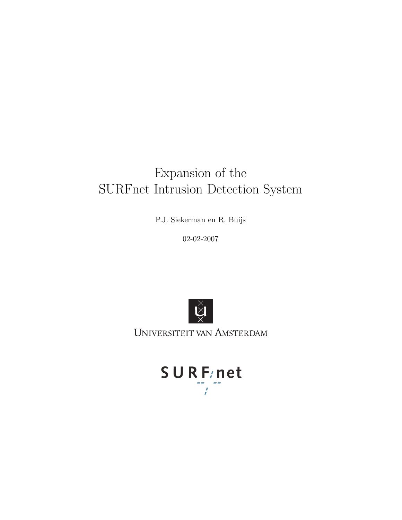# Expansion of the SURFnet Intrusion Detection System

P.J. Siekerman en R. Buijs

02-02-2007



UNIVERSITEIT VAN AMSTERDAM

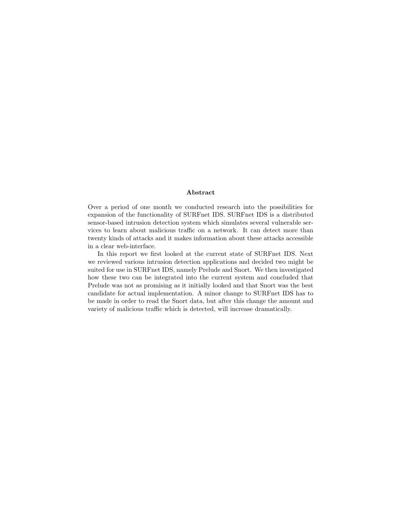#### Abstract

Over a period of one month we conducted research into the possibilities for expansion of the functionality of SURFnet IDS. SURFnet IDS is a distributed sensor-based intrusion detection system which simulates several vulnerable services to learn about malicious traffic on a network. It can detect more than twenty kinds of attacks and it makes information about these attacks accessible in a clear web-interface.

In this report we first looked at the current state of SURFnet IDS. Next we reviewed various intrusion detection applications and decided two might be suited for use in SURFnet IDS, namely Prelude and Snort. We then investigated how these two can be integrated into the current system and concluded that Prelude was not as promising as it initially looked and that Snort was the best candidate for actual implementation. A minor change to SURFnet IDS has to be made in order to read the Snort data, but after this change the amount and variety of malicious traffic which is detected, will increase dramatically.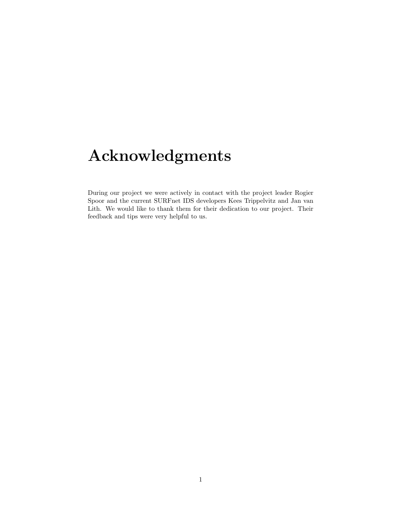# Acknowledgments

During our project we were actively in contact with the project leader Rogier Spoor and the current SURFnet IDS developers Kees Trippelvitz and Jan van Lith. We would like to thank them for their dedication to our project. Their feedback and tips were very helpful to us.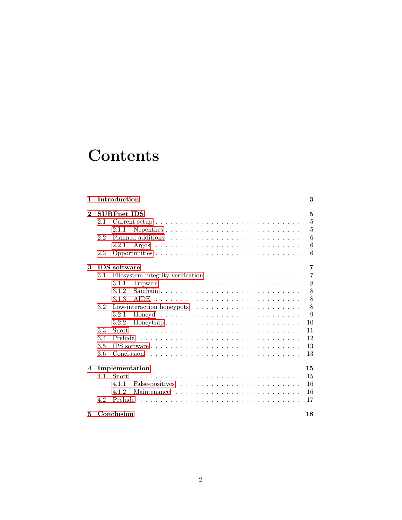# **Contents**

| 1              |                    | Introduction         | 3              |
|----------------|--------------------|----------------------|----------------|
| $\bf{2}$       | <b>SURFnet IDS</b> |                      |                |
|                | 2.1                |                      | 5              |
|                |                    | 2.1.1                | 5              |
|                | 2.2                |                      | 6              |
|                |                    | 2.2.1                | 6              |
|                | 2.3                |                      | 6              |
| 3              |                    | <b>IDS</b> software  | 7              |
|                | 3.1                |                      | $\overline{7}$ |
|                |                    | 3.1.1                | 8              |
|                |                    | 3.1.2                | 8              |
|                |                    | 3.1.3<br><b>AIDE</b> | 8              |
|                | 3.2                |                      | 8              |
|                |                    | 3.2.1                | 9              |
|                |                    | 3.2.2                | 10             |
|                | 3.3                |                      | 11             |
|                | 3.4                | Prelude              | 12             |
|                | 3.5                | IPS software         | 13             |
|                | 3.6                | Conclusion           | 13             |
| $\overline{4}$ |                    | Implementation       | 15             |
|                | 4.1                |                      | 15             |
|                |                    | 4.1.1                | 16             |
|                |                    | 4.1.2                | 16             |
|                | 4.2                | Prelude              | 17             |
| 5              |                    | Conclusion           | 18             |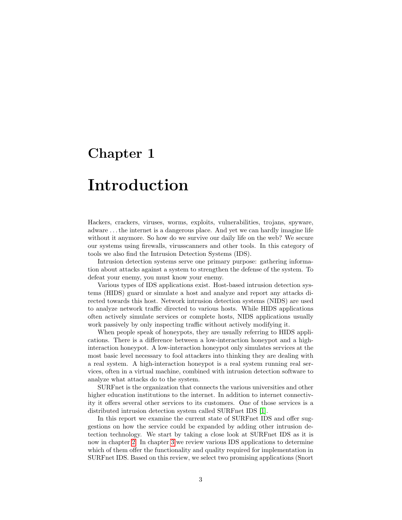## <span id="page-4-0"></span>Introduction

Hackers, crackers, viruses, worms, exploits, vulnerabilities, trojans, spyware, adware . . . the internet is a dangerous place. And yet we can hardly imagine life without it anymore. So how do we survive our daily life on the web? We secure our systems using firewalls, virusscanners and other tools. In this category of tools we also find the Intrusion Detection Systems (IDS).

Intrusion detection systems serve one primary purpose: gathering information about attacks against a system to strengthen the defense of the system. To defeat your enemy, you must know your enemy.

Various types of IDS applications exist. Host-based intrusion detection systems (HIDS) guard or simulate a host and analyze and report any attacks directed towards this host. Network intrusion detection systems (NIDS) are used to analyze network traffic directed to various hosts. While HIDS applications often actively simulate services or complete hosts, NIDS applications usually work passively by only inspecting traffic without actively modifying it.

When people speak of honeypots, they are usually referring to HIDS applications. There is a difference between a low-interaction honeypot and a highinteraction honeypot. A low-interaction honeypot only simulates services at the most basic level necessary to fool attackers into thinking they are dealing with a real system. A high-interaction honeypot is a real system running real services, often in a virtual machine, combined with intrusion detection software to analyze what attacks do to the system.

SURFnet is the organization that connects the various universities and other higher education institutions to the internet. In addition to internet connectivity it offers several other services to its customers. One of those services is a distributed intrusion detection system called SURFnet IDS [\[1\]](#page-20-0).

In this report we examine the current state of SURFnet IDS and offer suggestions on how the service could be expanded by adding other intrusion detection technology. We start by taking a close look at SURFnet IDS as it is now in chapter [2.](#page-6-0) In chapter [3](#page-8-0) we review various IDS applications to determine which of them offer the functionality and quality required for implementation in SURFnet IDS. Based on this review, we select two promising applications (Snort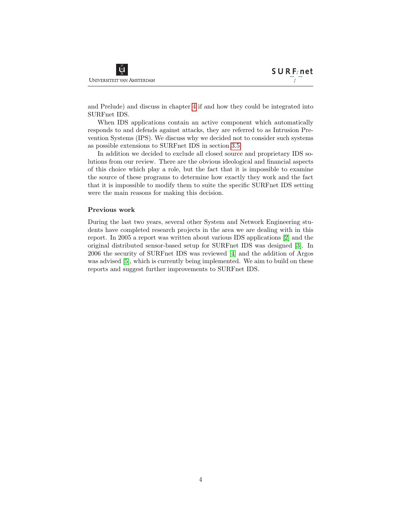and Prelude) and discuss in chapter [4](#page-16-0) if and how they could be integrated into SURFnet IDS.

When IDS applications contain an active component which automatically responds to and defends against attacks, they are referred to as Intrusion Prevention Systems (IPS). We discuss why we decided not to consider such systems as possible extensions to SURFnet IDS in section [3.5.](#page-14-0)

In addition we decided to exclude all closed source and proprietary IDS solutions from our review. There are the obvious ideological and financial aspects of this choice which play a role, but the fact that it is impossible to examine the source of these programs to determine how exactly they work and the fact that it is impossible to modify them to suite the specific SURFnet IDS setting were the main reasons for making this decision.

#### Previous work

During the last two years, several other System and Network Engineering students have completed research projects in the area we are dealing with in this report. In 2005 a report was written about various IDS applications [\[2\]](#page-20-1) and the original distributed sensor-based setup for SURFnet IDS was designed [\[3\]](#page-20-2). In 2006 the security of SURFnet IDS was reviewed [\[4\]](#page-20-3) and the addition of Argos was advised [\[5\]](#page-20-4), which is currently being implemented. We aim to build on these reports and suggest further improvements to SURFnet IDS.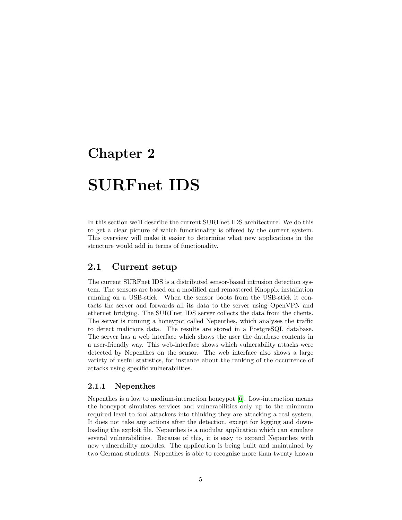# <span id="page-6-0"></span>SURFnet IDS

In this section we'll describe the current SURFnet IDS architecture. We do this to get a clear picture of which functionality is offered by the current system. This overview will make it easier to determine what new applications in the structure would add in terms of functionality.

### <span id="page-6-1"></span>2.1 Current setup

The current SURFnet IDS is a distributed sensor-based intrusion detection system. The sensors are based on a modified and remastered Knoppix installation running on a USB-stick. When the sensor boots from the USB-stick it contacts the server and forwards all its data to the server using OpenVPN and ethernet bridging. The SURFnet IDS server collects the data from the clients. The server is running a honeypot called Nepenthes, which analyses the traffic to detect malicious data. The results are stored in a PostgreSQL database. The server has a web interface which shows the user the database contents in a user-friendly way. This web-interface shows which vulnerability attacks were detected by Nepenthes on the sensor. The web interface also shows a large variety of useful statistics, for instance about the ranking of the occurrence of attacks using specific vulnerabilities.

#### <span id="page-6-2"></span>2.1.1 Nepenthes

Nepenthes is a low to medium-interaction honeypot [\[6\]](#page-20-5). Low-interaction means the honeypot simulates services and vulnerabilities only up to the minimum required level to fool attackers into thinking they are attacking a real system. It does not take any actions after the detection, except for logging and downloading the exploit file. Nepenthes is a modular application which can simulate several vulnerabilities. Because of this, it is easy to expand Nepenthes with new vulnerability modules. The application is being built and maintained by two German students. Nepenthes is able to recognize more than twenty known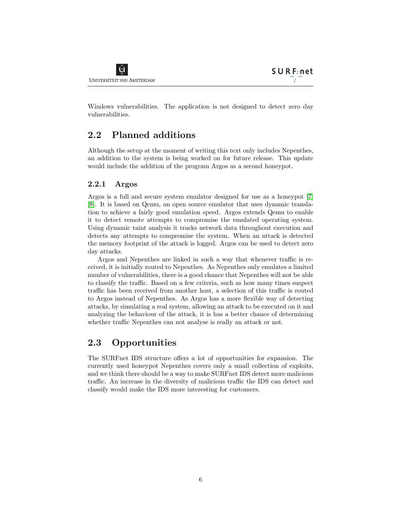Windows vulnerabilities. The application is not designed to detect zero day vulnerabilities.

## <span id="page-7-0"></span>2.2 Planned additions

Although the setup at the moment of writing this text only includes Nepenthes, an addition to the system is being worked on for future release. This update would include the addition of the program Argos as a second honeypot.

### <span id="page-7-1"></span>2.2.1 Argos

Argos is a full and secure system emulator designed for use as a honeypot [\[7\]](#page-20-6) [\[8\]](#page-20-7). It is based on Qemu, an open source emulator that uses dynamic translation to achieve a fairly good emulation speed. Argos extends Qemu to enable it to detect remote attempts to compromise the emulated operating system. Using dynamic taint analysis it tracks network data throughout execution and detects any attempts to compromise the system. When an attack is detected the memory footprint of the attack is logged. Argos can be used to detect zero day attacks.

Argos and Nepenthes are linked in such a way that whenever traffic is received, it is initially routed to Nepenthes. As Nepenthes only emulates a limited number of vulnerabilities, there is a good chance that Nepenthes will not be able to classify the traffic. Based on a few criteria, such as how many times suspect traffic has been received from another host, a selection of this traffic is routed to Argos instead of Nepenthes. As Argos has a more flexible way of detecting attacks, by simulating a real system, allowing an attack to be executed on it and analyzing the behaviour of the attack, it is has a better chance of determining whether traffic Nepenthes can not analyse is really an attack or not.

### <span id="page-7-2"></span>2.3 Opportunities

The SURFnet IDS structure offers a lot of opportunities for expansion. The currently used honeypot Nepenthes covers only a small collection of exploits, and we think there should be a way to make SURFnet IDS detect more malicious traffic. An increase in the diversity of malicious traffic the IDS can detect and classify would make the IDS more interesting for customers.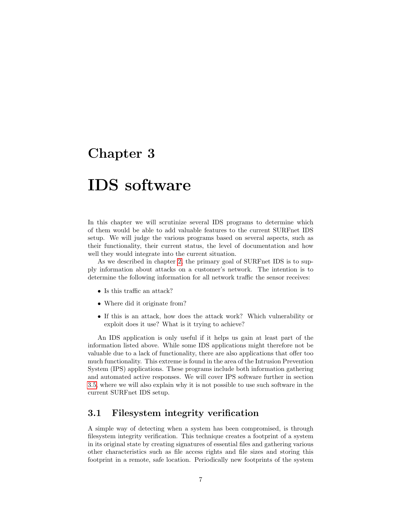## <span id="page-8-0"></span>IDS software

In this chapter we will scrutinize several IDS programs to determine which of them would be able to add valuable features to the current SURFnet IDS setup. We will judge the various programs based on several aspects, such as their functionality, their current status, the level of documentation and how well they would integrate into the current situation.

As we described in chapter [2,](#page-6-0) the primary goal of SURFnet IDS is to supply information about attacks on a customer's network. The intention is to determine the following information for all network traffic the sensor receives:

- Is this traffic an attack?
- Where did it originate from?
- If this is an attack, how does the attack work? Which vulnerability or exploit does it use? What is it trying to achieve?

An IDS application is only useful if it helps us gain at least part of the information listed above. While some IDS applications might therefore not be valuable due to a lack of functionality, there are also applications that offer too much functionality. This extreme is found in the area of the Intrusion Prevention System (IPS) applications. These programs include both information gathering and automated active responses. We will cover IPS software further in section [3.5,](#page-14-0) where we will also explain why it is not possible to use such software in the current SURFnet IDS setup.

### <span id="page-8-1"></span>3.1 Filesystem integrity verification

A simple way of detecting when a system has been compromised, is through filesystem integrity verification. This technique creates a footprint of a system in its original state by creating signatures of essential files and gathering various other characteristics such as file access rights and file sizes and storing this footprint in a remote, safe location. Periodically new footprints of the system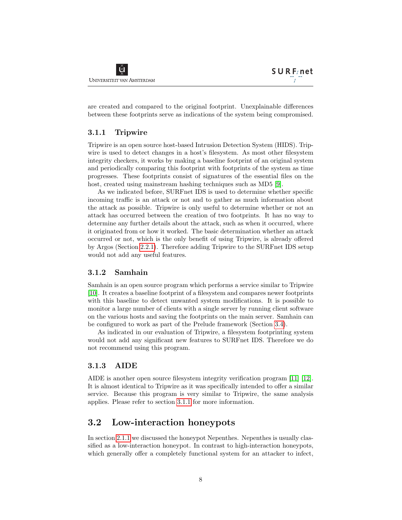are created and compared to the original footprint. Unexplainable differences between these footprints serve as indications of the system being compromised.

### <span id="page-9-0"></span>3.1.1 Tripwire

Tripwire is an open source host-based Intrusion Detection System (HIDS). Tripwire is used to detect changes in a host's filesystem. As most other filesystem integrity checkers, it works by making a baseline footprint of an original system and periodically comparing this footprint with footprints of the system as time progresses. These footprints consist of signatures of the essential files on the host, created using mainstream hashing techniques such as MD5 [\[9\]](#page-20-8).

As we indicated before, SURFnet IDS is used to determine whether specific incoming traffic is an attack or not and to gather as much information about the attack as possible. Tripwire is only useful to determine whether or not an attack has occurred between the creation of two footprints. It has no way to determine any further details about the attack, such as when it occurred, where it originated from or how it worked. The basic determination whether an attack occurred or not, which is the only benefit of using Tripwire, is already offered by Argos (Section [2.2.1\)](#page-7-1). Therefore adding Tripwire to the SURFnet IDS setup would not add any useful features.

### <span id="page-9-1"></span>3.1.2 Samhain

Samhain is an open source program which performs a service similar to Tripwire [\[10\]](#page-20-9). It creates a baseline footprint of a filesystem and compares newer footprints with this baseline to detect unwanted system modifications. It is possible to monitor a large number of clients with a single server by running client software on the various hosts and saving the footprints on the main server. Samhain can be configured to work as part of the Prelude framework (Section [3.4\)](#page-13-0).

As indicated in our evaluation of Tripwire, a filesystem footprinting system would not add any significant new features to SURFnet IDS. Therefore we do not recommend using this program.

#### <span id="page-9-2"></span>3.1.3 AIDE

AIDE is another open source filesystem integrity verification program [\[11\]](#page-21-0) [\[12\]](#page-21-1). It is almost identical to Tripwire as it was specifically intended to offer a similar service. Because this program is very similar to Tripwire, the same analysis applies. Please refer to section [3.1.1](#page-9-0) for more information.

### <span id="page-9-3"></span>3.2 Low-interaction honeypots

In section [2.1.1](#page-6-2) we discussed the honeypot Nepenthes. Nepenthes is usually classified as a low-interaction honeypot. In contrast to high-interaction honeypots, which generally offer a completely functional system for an attacker to infect,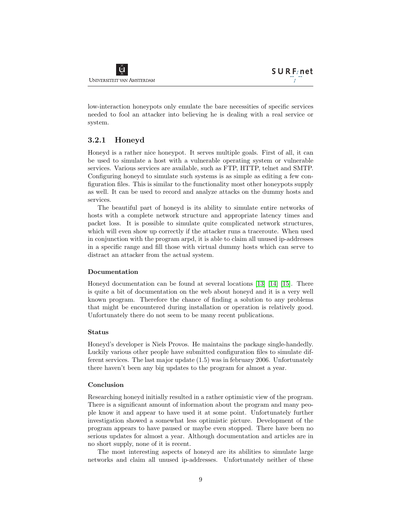low-interaction honeypots only emulate the bare necessities of specific services needed to fool an attacker into believing he is dealing with a real service or system.

### <span id="page-10-0"></span>3.2.1 Honeyd

Honeyd is a rather nice honeypot. It serves multiple goals. First of all, it can be used to simulate a host with a vulnerable operating system or vulnerable services. Various services are available, such as FTP, HTTP, telnet and SMTP. Configuring honeyd to simulate such systems is as simple as editing a few configuration files. This is similar to the functionality most other honeypots supply as well. It can be used to record and analyze attacks on the dummy hosts and services.

The beautiful part of honeyd is its ability to simulate entire networks of hosts with a complete network structure and appropriate latency times and packet loss. It is possible to simulate quite complicated network structures, which will even show up correctly if the attacker runs a traceroute. When used in conjunction with the program arpd, it is able to claim all unused ip-addresses in a specific range and fill those with virtual dummy hosts which can serve to distract an attacker from the actual system.

#### Documentation

Honeyd documentation can be found at several locations [\[13\]](#page-21-2) [\[14\]](#page-21-3) [\[15\]](#page-21-4). There is quite a bit of documentation on the web about honeyd and it is a very well known program. Therefore the chance of finding a solution to any problems that might be encountered during installation or operation is relatively good. Unfortunately there do not seem to be many recent publications.

#### Status

Honeyd's developer is Niels Provos. He maintains the package single-handedly. Luckily various other people have submitted configuration files to simulate different services. The last major update (1.5) was in february 2006. Unfortunately there haven't been any big updates to the program for almost a year.

#### Conclusion

Researching honeyd initially resulted in a rather optimistic view of the program. There is a significant amount of information about the program and many people know it and appear to have used it at some point. Unfortunately further investigation showed a somewhat less optimistic picture. Development of the program appears to have paused or maybe even stopped. There have been no serious updates for almost a year. Although documentation and articles are in no short supply, none of it is recent.

The most interesting aspects of honeyd are its abilities to simulate large networks and claim all unused ip-addresses. Unfortunately neither of these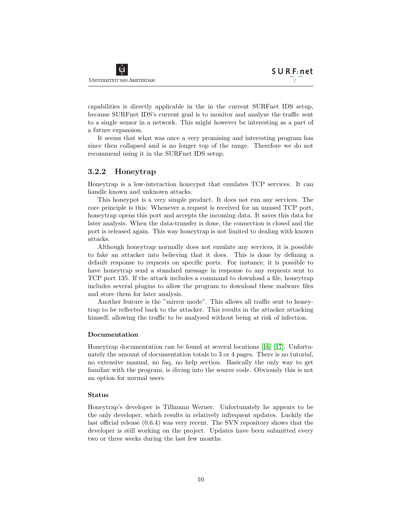capabilities is directly applicable in the in the current SURFnet IDS setup, because SURFnet IDS's current goal is to monitor and analyze the traffic sent to a single sensor in a network. This might however be interesting as a part of a future expansion.

It seems that what was once a very promising and interesting program has since then collapsed and is no longer top of the range. Therefore we do not recommend using it in the SURFnet IDS setup.

#### <span id="page-11-0"></span>3.2.2 Honeytrap

Honeytrap is a low-interaction honeypot that emulates TCP services. It can handle known and unknown attacks.

This honeypot is a very simple product. It does not run any services. The core principle is this: Whenever a request is received for an unused TCP port, honeytrap opens this port and accepts the incoming data. It saves this data for later analysis. When the data-transfer is done, the connection is closed and the port is released again. This way honeytrap is not limited to dealing with known attacks.

Although honeytrap normally does not emulate any services, it is possible to fake an attacker into believing that it does. This is done by defining a default response to requests on specific ports. For instance, it is possible to have honeytrap send a standard message in response to any requests sent to TCP port 135. If the attack includes a command to download a file, honeytrap includes several plugins to allow the program to download these malware files and store them for later analysis.

Another feature is the "mirror mode". This allows all traffic sent to honeytrap to be reflected back to the attacker. This results in the attacker attacking himself, allowing the traffic to be analysed without being at risk of infection.

#### Documentation

Honeytrap documentation can be found at several locations [\[16\]](#page-21-5) [\[17\]](#page-21-6). Unfortunately the amount of documentation totals to 3 or 4 pages. There is no tutorial, no extensive manual, no faq, no help section. Basically the only way to get familiar with the program, is diving into the source code. Obviously this is not an option for normal users.

#### Status

Honeytrap's developer is Tillmann Werner. Unfortunately he appears to be the only developer, which results in relatively infrequent updates. Luckily the last official release (0.6.4) was very recent. The SVN repository shows that the developer is still working on the project. Updates have been submitted every two or three weeks during the last few months.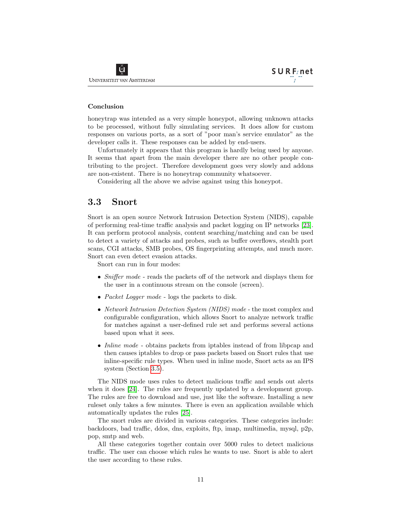#### Conclusion

honeytrap was intended as a very simple honeypot, allowing unknown attacks to be processed, without fully simulating services. It does allow for custom responses on various ports, as a sort of "poor man's service emulator" as the developer calls it. These responses can be added by end-users.

Unfortunately it appears that this program is hardly being used by anyone. It seems that apart from the main developer there are no other people contributing to the project. Therefore development goes very slowly and addons are non-existent. There is no honeytrap community whatsoever.

Considering all the above we advise against using this honeypot.

### <span id="page-12-0"></span>3.3 Snort

Snort is an open source Network Intrusion Detection System (NIDS), capable of performing real-time traffic analysis and packet logging on IP networks [\[23\]](#page-21-7). It can perform protocol analysis, content searching/matching and can be used to detect a variety of attacks and probes, such as buffer overflows, stealth port scans, CGI attacks, SMB probes, OS fingerprinting attempts, and much more. Snort can even detect evasion attacks.

Snort can run in four modes:

- *Sniffer mode* reads the packets off of the network and displays them for the user in a continuous stream on the console (screen).
- Packet Logger mode logs the packets to disk.
- Network Intrusion Detection System (NIDS) mode the most complex and configurable configuration, which allows Snort to analyze network traffic for matches against a user-defined rule set and performs several actions based upon what it sees.
- *Inline mode* obtains packets from iptables instead of from libpcap and then causes iptables to drop or pass packets based on Snort rules that use inline-specific rule types. When used in inline mode, Snort acts as an IPS system (Section [3.5\)](#page-14-0).

The NIDS mode uses rules to detect malicious traffic and sends out alerts when it does [\[24\]](#page-21-8). The rules are frequently updated by a development group. The rules are free to download and use, just like the software. Installing a new ruleset only takes a few minutes. There is even an application available which automatically updates the rules [\[25\]](#page-21-9).

The snort rules are divided in various categories. These categories include: backdoors, bad traffic, ddos, dns, exploits, ftp, imap, multimedia, mysql, p2p, pop, smtp and web.

All these categories together contain over 5000 rules to detect malicious traffic. The user can choose which rules he wants to use. Snort is able to alert the user according to these rules.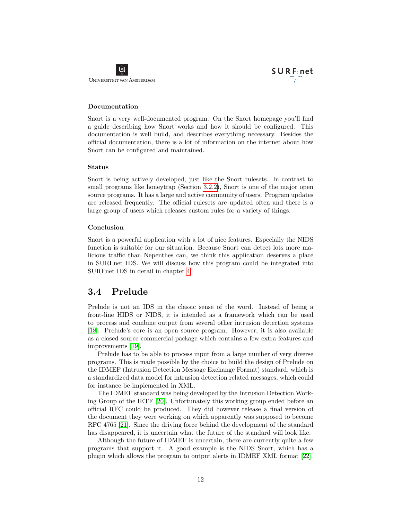#### Documentation

Snort is a very well-documented program. On the Snort homepage you'll find a guide describing how Snort works and how it should be configured. This documentation is well build, and describes everything necessary. Besides the official documentation, there is a lot of information on the internet about how Snort can be configured and maintained.

#### Status

Snort is being actively developed, just like the Snort rulesets. In contrast to small programs like honeytrap (Section [3.2.2\)](#page-11-0), Snort is one of the major open source programs. It has a large and active community of users. Program updates are released frequently. The official rulesets are updated often and there is a large group of users which releases custom rules for a variety of things.

#### Conclusion

Snort is a powerful application with a lot of nice features. Especially the NIDS function is suitable for our situation. Because Snort can detect lots more malicious traffic than Nepenthes can, we think this application deserves a place in SURFnet IDS. We will discuss how this program could be integrated into SURFnet IDS in detail in chapter [4.](#page-16-0)

### <span id="page-13-0"></span>3.4 Prelude

Prelude is not an IDS in the classic sense of the word. Instead of being a front-line HIDS or NIDS, it is intended as a framework which can be used to process and combine output from several other intrusion detection systems [\[18\]](#page-21-10). Prelude's core is an open source program. However, it is also available as a closed source commercial package which contains a few extra features and improvements [\[19\]](#page-21-11).

Prelude has to be able to process input from a large number of very diverse programs. This is made possible by the choice to build the design of Prelude on the IDMEF (Intrusion Detection Message Exchange Format) standard, which is a standardized data model for intrusion detection related messages, which could for instance be implemented in XML.

The IDMEF standard was being developed by the Intrusion Detection Working Group of the IETF [\[20\]](#page-21-12). Unfortunately this working group ended before an official RFC could be produced. They did however release a final version of the document they were working on which apparently was supposed to become RFC 4765 [\[21\]](#page-21-13). Since the driving force behind the development of the standard has disappeared, it is uncertain what the future of the standard will look like.

Although the future of IDMEF is uncertain, there are currently quite a few programs that support it. A good example is the NIDS Snort, which has a plugin which allows the program to output alerts in IDMEF XML format [\[22\]](#page-21-14).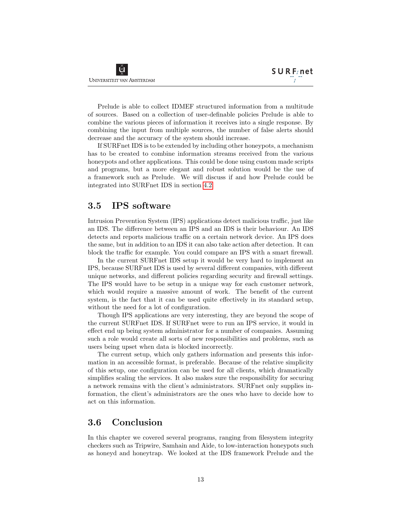Prelude is able to collect IDMEF structured information from a multitude of sources. Based on a collection of user-definable policies Prelude is able to combine the various pieces of information it receives into a single response. By combining the input from multiple sources, the number of false alerts should decrease and the accuracy of the system should increase.

If SURFnet IDS is to be extended by including other honeypots, a mechanism has to be created to combine information streams received from the various honeypots and other applications. This could be done using custom made scripts and programs, but a more elegant and robust solution would be the use of a framework such as Prelude. We will discuss if and how Prelude could be integrated into SURFnet IDS in section [4.2.](#page-18-0)

### <span id="page-14-0"></span>3.5 IPS software

Intrusion Prevention System (IPS) applications detect malicious traffic, just like an IDS. The difference between an IPS and an IDS is their behaviour. An IDS detects and reports malicious traffic on a certain network device. An IPS does the same, but in addition to an IDS it can also take action after detection. It can block the traffic for example. You could compare an IPS with a smart firewall.

In the current SURFnet IDS setup it would be very hard to implement an IPS, because SURFnet IDS is used by several different companies, with different unique networks, and different policies regarding security and firewall settings. The IPS would have to be setup in a unique way for each customer network, which would require a massive amount of work. The benefit of the current system, is the fact that it can be used quite effectively in its standard setup, without the need for a lot of configuration.

Though IPS applications are very interesting, they are beyond the scope of the current SURFnet IDS. If SURFnet were to run an IPS service, it would in effect end up being system administrator for a number of companies. Assuming such a role would create all sorts of new responsibilities and problems, such as users being upset when data is blocked incorrectly.

The current setup, which only gathers information and presents this information in an accessible format, is preferable. Because of the relative simplicity of this setup, one configuration can be used for all clients, which dramatically simplifies scaling the services. It also makes sure the responsibility for securing a network remains with the client's administrators. SURFnet only supplies information, the client's administrators are the ones who have to decide how to act on this information.

### <span id="page-14-1"></span>3.6 Conclusion

In this chapter we covered several programs, ranging from filesystem integrity checkers such as Tripwire, Samhain and Aide, to low-interaction honeypots such as honeyd and honeytrap. We looked at the IDS framework Prelude and the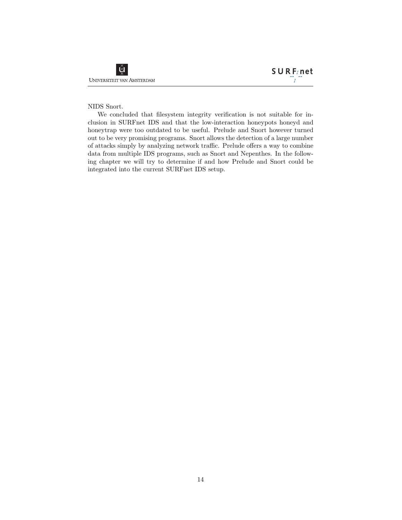#### NIDS Snort.

We concluded that filesystem integrity verification is not suitable for inclusion in SURFnet IDS and that the low-interaction honeypots honeyd and honeytrap were too outdated to be useful. Prelude and Snort however turned out to be very promising programs. Snort allows the detection of a large number of attacks simply by analyzing network traffic. Prelude offers a way to combine data from multiple IDS programs, such as Snort and Nepenthes. In the following chapter we will try to determine if and how Prelude and Snort could be integrated into the current SURFnet IDS setup.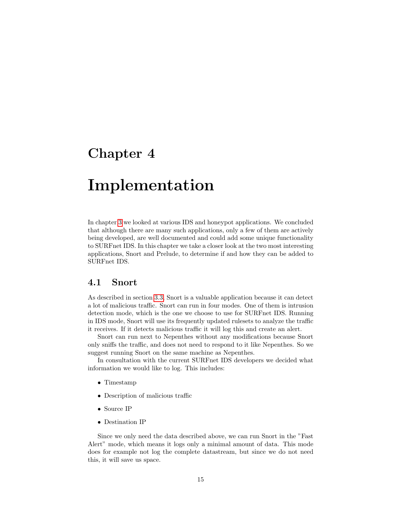# <span id="page-16-0"></span>Implementation

In chapter [3](#page-8-0) we looked at various IDS and honeypot applications. We concluded that although there are many such applications, only a few of them are actively being developed, are well documented and could add some unique functionality to SURFnet IDS. In this chapter we take a closer look at the two most interesting applications, Snort and Prelude, to determine if and how they can be added to SURFnet IDS.

### <span id="page-16-1"></span>4.1 Snort

As described in section [3.3,](#page-12-0) Snort is a valuable application because it can detect a lot of malicious traffic. Snort can run in four modes. One of them is intrusion detection mode, which is the one we choose to use for SURFnet IDS. Running in IDS mode, Snort will use its frequently updated rulesets to analyze the traffic it receives. If it detects malicious traffic it will log this and create an alert.

Snort can run next to Nepenthes without any modifications because Snort only sniffs the traffic, and does not need to respond to it like Nepenthes. So we suggest running Snort on the same machine as Nepenthes.

In consultation with the current SURFnet IDS developers we decided what information we would like to log. This includes:

- Timestamp
- Description of malicious traffic
- Source IP
- Destination IP

Since we only need the data described above, we can run Snort in the "Fast Alert" mode, which means it logs only a minimal amount of data. This mode does for example not log the complete datastream, but since we do not need this, it will save us space.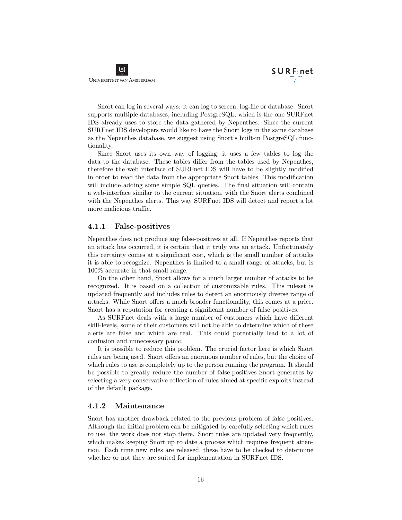Snort can log in several ways: it can log to screen, log-file or database. Snort supports multiple databases, including PostgreSQL, which is the one SURFnet IDS already uses to store the data gathered by Nepenthes. Since the current SURFnet IDS developers would like to have the Snort logs in the same database as the Nepenthes database, we suggest using Snort's built-in PostgreSQL functionality.

Since Snort uses its own way of logging, it uses a few tables to log the data to the database. These tables differ from the tables used by Nepenthes, therefore the web interface of SURFnet IDS will have to be slightly modified in order to read the data from the appropriate Snort tables. This modification will include adding some simple SQL queries. The final situation will contain a web-interface similar to the current situation, with the Snort alerts combined with the Nepenthes alerts. This way SURFnet IDS will detect and report a lot more malicious traffic.

#### <span id="page-17-0"></span>4.1.1 False-positives

Nepenthes does not produce any false-positives at all. If Nepenthes reports that an attack has occurred, it is certain that it truly was an attack. Unfortunately this certainty comes at a significant cost, which is the small number of attacks it is able to recognize. Nepenthes is limited to a small range of attacks, but is 100% accurate in that small range.

On the other hand, Snort allows for a much larger number of attacks to be recognized. It is based on a collection of customizable rules. This ruleset is updated frequently and includes rules to detect an enormously diverse range of attacks. While Snort offers a much broader functionality, this comes at a price. Snort has a reputation for creating a significant number of false positives.

As SURFnet deals with a large number of customers which have different skill-levels, some of their customers will not be able to determine which of these alerts are false and which are real. This could potentially lead to a lot of confusion and unnecessary panic.

It is possible to reduce this problem. The crucial factor here is which Snort rules are being used. Snort offers an enormous number of rules, but the choice of which rules to use is completely up to the person running the program. It should be possible to greatly reduce the number of false-positives Snort generates by selecting a very conservative collection of rules aimed at specific exploits instead of the default package.

#### <span id="page-17-1"></span>4.1.2 Maintenance

Snort has another drawback related to the previous problem of false positives. Although the initial problem can be mitigated by carefully selecting which rules to use, the work does not stop there. Snort rules are updated very frequently, which makes keeping Snort up to date a process which requires frequent attention. Each time new rules are released, these have to be checked to determine whether or not they are suited for implementation in SURFnet IDS.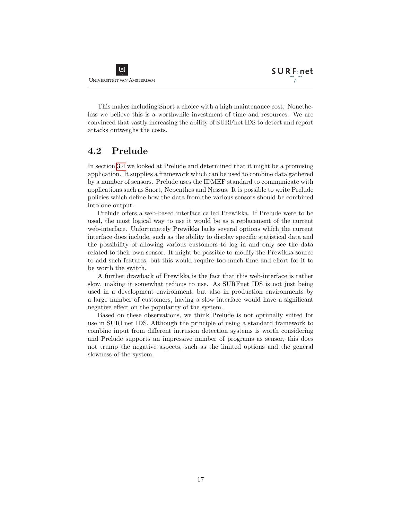This makes including Snort a choice with a high maintenance cost. Nonetheless we believe this is a worthwhile investment of time and resources. We are convinced that vastly increasing the ability of SURFnet IDS to detect and report attacks outweighs the costs.

### <span id="page-18-0"></span>4.2 Prelude

In section [3.4](#page-13-0) we looked at Prelude and determined that it might be a promising application. It supplies a framework which can be used to combine data gathered by a number of sensors. Prelude uses the IDMEF standard to communicate with applications such as Snort, Nepenthes and Nessus. It is possible to write Prelude policies which define how the data from the various sensors should be combined into one output.

Prelude offers a web-based interface called Prewikka. If Prelude were to be used, the most logical way to use it would be as a replacement of the current web-interface. Unfortunately Prewikka lacks several options which the current interface does include, such as the ability to display specific statistical data and the possibility of allowing various customers to log in and only see the data related to their own sensor. It might be possible to modify the Prewikka source to add such features, but this would require too much time and effort for it to be worth the switch.

A further drawback of Prewikka is the fact that this web-interface is rather slow, making it somewhat tedious to use. As SURFnet IDS is not just being used in a development environment, but also in production environments by a large number of customers, having a slow interface would have a significant negative effect on the popularity of the system.

Based on these observations, we think Prelude is not optimally suited for use in SURFnet IDS. Although the principle of using a standard framework to combine input from different intrusion detection systems is worth considering and Prelude supports an impressive number of programs as sensor, this does not trump the negative aspects, such as the limited options and the general slowness of the system.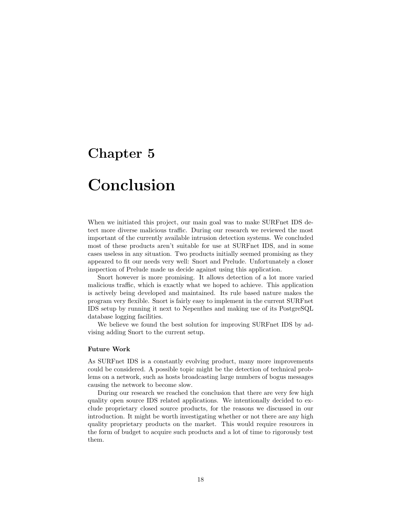# <span id="page-19-0"></span>Conclusion

When we initiated this project, our main goal was to make SURFnet IDS detect more diverse malicious traffic. During our research we reviewed the most important of the currently available intrusion detection systems. We concluded most of these products aren't suitable for use at SURFnet IDS, and in some cases useless in any situation. Two products initially seemed promising as they appeared to fit our needs very well: Snort and Prelude. Unfortunately a closer inspection of Prelude made us decide against using this application.

Snort however is more promising. It allows detection of a lot more varied malicious traffic, which is exactly what we hoped to achieve. This application is actively being developed and maintained. Its rule based nature makes the program very flexible. Snort is fairly easy to implement in the current SURFnet IDS setup by running it next to Nepenthes and making use of its PostgreSQL database logging facilities.

We believe we found the best solution for improving SURFnet IDS by advising adding Snort to the current setup.

#### Future Work

As SURFnet IDS is a constantly evolving product, many more improvements could be considered. A possible topic might be the detection of technical problems on a network, such as hosts broadcasting large numbers of bogus messages causing the network to become slow.

During our research we reached the conclusion that there are very few high quality open source IDS related applications. We intentionally decided to exclude proprietary closed source products, for the reasons we discussed in our introduction. It might be worth investigating whether or not there are any high quality proprietary products on the market. This would require resources in the form of budget to acquire such products and a lot of time to rigorously test them.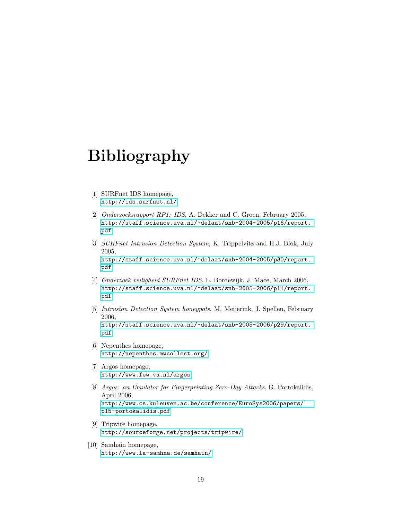# Bibliography

- <span id="page-20-0"></span>[1] SURFnet IDS homepage, <http://ids.surfnet.nl/>
- <span id="page-20-1"></span>[2] Onderzoeksrapport RP1: IDS, A. Dekker and C. Groen, February 2005, [http://staff.science.uva.nl/~delaat/snb-2004-2005/p16/report.](http://staff.science.uva.nl/~delaat/snb-2004-2005/p16/report.pdf) [pdf](http://staff.science.uva.nl/~delaat/snb-2004-2005/p16/report.pdf)
- <span id="page-20-2"></span>[3] SURFnet Intrusion Detection System, K. Trippelvitz and H.J. Blok, July 2005,

[http://staff.science.uva.nl/~delaat/snb-2004-2005/p30/report.](http://staff.science.uva.nl/~delaat/snb-2004-2005/p30/report.pdf) [pdf](http://staff.science.uva.nl/~delaat/snb-2004-2005/p30/report.pdf)

- <span id="page-20-3"></span>[4] Onderzoek veiligheid SURFnet IDS, L. Bordewijk, J. Mace, March 2006, [http://staff.science.uva.nl/~delaat/snb-2005-2006/p11/report.](http://staff.science.uva.nl/~delaat/snb-2005-2006/p11/report.pdf) [pdf](http://staff.science.uva.nl/~delaat/snb-2005-2006/p11/report.pdf)
- <span id="page-20-4"></span>[5] Intrusion Detection System honeypots, M. Meijerink, J. Spellen, February 2006, [http://staff.science.uva.nl/~delaat/snb-2005-2006/p29/report.](http://staff.science.uva.nl/~delaat/snb-2005-2006/p29/report.pdf) [pdf](http://staff.science.uva.nl/~delaat/snb-2005-2006/p29/report.pdf)
- <span id="page-20-5"></span>[6] Nepenthes homepage, <http://nepenthes.mwcollect.org/>
- <span id="page-20-6"></span>[7] Argos homepage, <http://www.few.vu.nl/argos>
- <span id="page-20-7"></span>[8] Argos: an Emulator for Fingerprinting Zero-Day Attacks, G. Portokalidis, April 2006, [http://www.cs.kuleuven.ac.be/conference/EuroSys2006/papers/](http://www.cs.kuleuven.ac.be/conference/EuroSys2006/papers/p15-portokalidis.pdf) [p15-portokalidis.pdf](http://www.cs.kuleuven.ac.be/conference/EuroSys2006/papers/p15-portokalidis.pdf)
- <span id="page-20-8"></span>[9] Tripwire homepage, <http://sourceforge.net/projects/tripwire/>
- <span id="page-20-9"></span>[10] Samhain homepage, <http://www.la-samhna.de/samhain/>